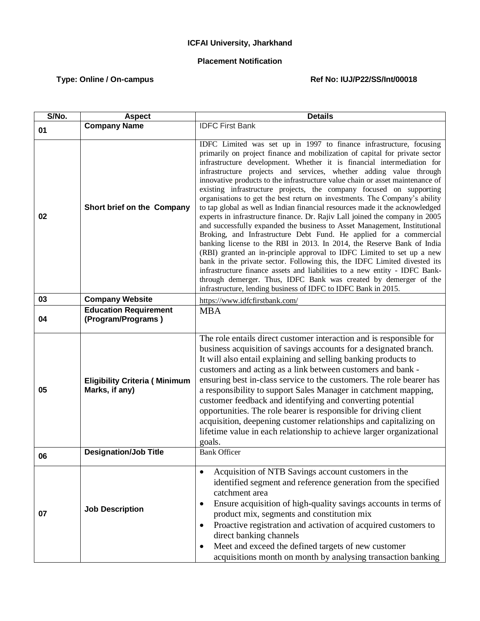## **ICFAI University, Jharkhand**

## **Placement Notification**

## Type: Online / On-campus **Ref No: IUJ/P22/SS/Int/00018**

| S/No. | <b>Aspect</b>                                          | <b>Details</b>                                                                                                                                                                                                                                                                                                                                                                                                                                                                                                                                                                                                                                                                                                                                                                                                                                                                                                                                                                                                                                                                                                                                                                                                                                                                                                   |
|-------|--------------------------------------------------------|------------------------------------------------------------------------------------------------------------------------------------------------------------------------------------------------------------------------------------------------------------------------------------------------------------------------------------------------------------------------------------------------------------------------------------------------------------------------------------------------------------------------------------------------------------------------------------------------------------------------------------------------------------------------------------------------------------------------------------------------------------------------------------------------------------------------------------------------------------------------------------------------------------------------------------------------------------------------------------------------------------------------------------------------------------------------------------------------------------------------------------------------------------------------------------------------------------------------------------------------------------------------------------------------------------------|
| 01    | <b>Company Name</b>                                    | <b>IDFC First Bank</b>                                                                                                                                                                                                                                                                                                                                                                                                                                                                                                                                                                                                                                                                                                                                                                                                                                                                                                                                                                                                                                                                                                                                                                                                                                                                                           |
|       |                                                        |                                                                                                                                                                                                                                                                                                                                                                                                                                                                                                                                                                                                                                                                                                                                                                                                                                                                                                                                                                                                                                                                                                                                                                                                                                                                                                                  |
| 02    | Short brief on the Company                             | IDFC Limited was set up in 1997 to finance infrastructure, focusing<br>primarily on project finance and mobilization of capital for private sector<br>infrastructure development. Whether it is financial intermediation for<br>infrastructure projects and services, whether adding value through<br>innovative products to the infrastructure value chain or asset maintenance of<br>existing infrastructure projects, the company focused on supporting<br>organisations to get the best return on investments. The Company's ability<br>to tap global as well as Indian financial resources made it the acknowledged<br>experts in infrastructure finance. Dr. Rajiv Lall joined the company in 2005<br>and successfully expanded the business to Asset Management, Institutional<br>Broking, and Infrastructure Debt Fund. He applied for a commercial<br>banking license to the RBI in 2013. In 2014, the Reserve Bank of India<br>(RBI) granted an in-principle approval to IDFC Limited to set up a new<br>bank in the private sector. Following this, the IDFC Limited divested its<br>infrastructure finance assets and liabilities to a new entity - IDFC Bank-<br>through demerger. Thus, IDFC Bank was created by demerger of the<br>infrastructure, lending business of IDFC to IDFC Bank in 2015. |
| 03    | <b>Company Website</b>                                 | https://www.idfcfirstbank.com/                                                                                                                                                                                                                                                                                                                                                                                                                                                                                                                                                                                                                                                                                                                                                                                                                                                                                                                                                                                                                                                                                                                                                                                                                                                                                   |
| 04    | <b>Education Requirement</b><br>(Program/Programs)     | <b>MBA</b>                                                                                                                                                                                                                                                                                                                                                                                                                                                                                                                                                                                                                                                                                                                                                                                                                                                                                                                                                                                                                                                                                                                                                                                                                                                                                                       |
| 05    | <b>Eligibility Criteria (Minimum</b><br>Marks, if any) | The role entails direct customer interaction and is responsible for<br>business acquisition of savings accounts for a designated branch.<br>It will also entail explaining and selling banking products to<br>customers and acting as a link between customers and bank -<br>ensuring best in-class service to the customers. The role bearer has<br>a responsibility to support Sales Manager in catchment mapping,<br>customer feedback and identifying and converting potential<br>opportunities. The role bearer is responsible for driving client<br>acquisition, deepening customer relationships and capitalizing on<br>lifetime value in each relationship to achieve larger organizational<br>goals.                                                                                                                                                                                                                                                                                                                                                                                                                                                                                                                                                                                                    |
| 06    | <b>Designation/Job Title</b>                           | <b>Bank Officer</b>                                                                                                                                                                                                                                                                                                                                                                                                                                                                                                                                                                                                                                                                                                                                                                                                                                                                                                                                                                                                                                                                                                                                                                                                                                                                                              |
| 07    | <b>Job Description</b>                                 | Acquisition of NTB Savings account customers in the<br>$\bullet$<br>identified segment and reference generation from the specified<br>catchment area<br>Ensure acquisition of high-quality savings accounts in terms of<br>٠<br>product mix, segments and constitution mix<br>Proactive registration and activation of acquired customers to<br>$\bullet$<br>direct banking channels<br>Meet and exceed the defined targets of new customer<br>$\bullet$<br>acquisitions month on month by analysing transaction banking                                                                                                                                                                                                                                                                                                                                                                                                                                                                                                                                                                                                                                                                                                                                                                                         |